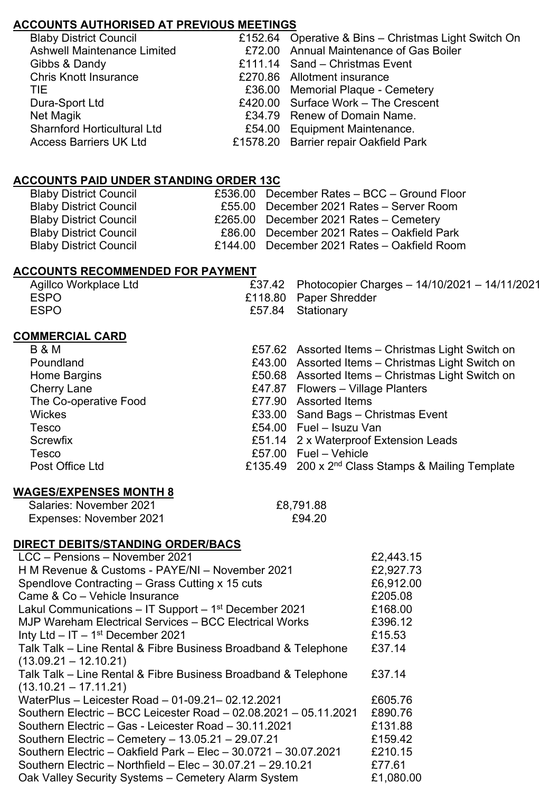# **ACCOUNTS AUTHORISED AT PREVIOUS MEETINGS**

| <b>Blaby District Council</b>      | £152.64 Operative & Bins - Christmas Light Switch On |
|------------------------------------|------------------------------------------------------|
| <b>Ashwell Maintenance Limited</b> | £72.00 Annual Maintenance of Gas Boiler              |
| Gibbs & Dandy                      | £111.14 Sand – Christmas Event                       |
| <b>Chris Knott Insurance</b>       | £270.86 Allotment insurance                          |
| TIE.                               | £36.00 Memorial Plaque - Cemetery                    |
| Dura-Sport Ltd                     | £420.00 Surface Work - The Crescent                  |
| Net Magik                          | £34.79 Renew of Domain Name.                         |
| <b>Sharnford Horticultural Ltd</b> | £54.00 Equipment Maintenance.                        |
| <b>Access Barriers UK Ltd</b>      | £1578.20 Barrier repair Oakfield Park                |
|                                    |                                                      |

## **ACCOUNTS PAID UNDER STANDING ORDER 13C**

| <b>Blaby District Council</b> | £536.00 December Rates - BCC - Ground Floor |
|-------------------------------|---------------------------------------------|
| <b>Blaby District Council</b> | £55.00 December 2021 Rates - Server Room    |
| <b>Blaby District Council</b> | £265.00 December 2021 Rates - Cemetery      |
| <b>Blaby District Council</b> | £86.00 December 2021 Rates - Oakfield Park  |
| <b>Blaby District Council</b> | £144.00 December 2021 Rates - Oakfield Room |

#### **ACCOUNTS RECOMMENDED FOR PAYMENT**

| Agillco Workplace Ltd | £37.42 Photocopier Charges - 14/10/2021 - 14/11/2021 |
|-----------------------|------------------------------------------------------|
| <b>ESPO</b>           | £118.80 Paper Shredder                               |
| <b>ESPO</b>           | £57.84 Stationary                                    |

#### **COMMERCIAL CARD**

| <b>B &amp; M</b>      | £57.62 Assorted Items - Christmas Light Switch on             |
|-----------------------|---------------------------------------------------------------|
| Poundland             | £43.00 Assorted Items - Christmas Light Switch on             |
| Home Bargins          | £50.68 Assorted Items - Christmas Light Switch on             |
| Cherry Lane           | £47.87 Flowers – Village Planters                             |
| The Co-operative Food | £77.90 Assorted Items                                         |
| <b>Wickes</b>         | £33.00 Sand Bags - Christmas Event                            |
| Tesco                 | £54.00 Fuel - Isuzu Van                                       |
| Screwfix              | £51.14 2 x Waterproof Extension Leads                         |
| Tesco                 | £57.00 $Full - Vehicle$                                       |
| Post Office Ltd       | £135.49 200 x 2 <sup>nd</sup> Class Stamps & Mailing Template |
|                       |                                                               |

# **WAGES/EXPENSES MONTH 8**

| Salaries: November 2021 | £8,791.88 |
|-------------------------|-----------|
| Expenses: November 2021 | £94.20    |

## **DIRECT DEBITS/STANDING ORDER/BACS**

| LCC - Pensions - November 2021                                        | £2,443.15 |
|-----------------------------------------------------------------------|-----------|
| H M Revenue & Customs - PAYE/NI - November 2021                       | £2,927.73 |
| Spendlove Contracting – Grass Cutting x 15 cuts                       | £6,912.00 |
| Came & Co - Vehicle Insurance                                         | £205.08   |
| Lakul Communications $-$ IT Support $-$ 1 <sup>st</sup> December 2021 | £168.00   |
| MJP Wareham Electrical Services - BCC Electrical Works                | £396.12   |
| Inty Ltd $-$ IT $-$ 1st December 2021                                 | £15.53    |
| Talk Talk – Line Rental & Fibre Business Broadband & Telephone        | £37.14    |
| $(13.09.21 - 12.10.21)$                                               |           |
| Talk Talk – Line Rental & Fibre Business Broadband & Telephone        | £37.14    |
| $(13.10.21 - 17.11.21)$                                               |           |
| WaterPlus - Leicester Road - 01-09.21 - 02.12.2021                    | £605.76   |
| Southern Electric - BCC Leicester Road - 02.08.2021 - 05.11.2021      | £890.76   |
| Southern Electric - Gas - Leicester Road - 30.11.2021                 | £131.88   |
| Southern Electric - Cemetery - 13.05.21 - 29.07.21                    | £159.42   |
| Southern Electric - Oakfield Park - Elec - 30.0721 - 30.07.2021       | £210.15   |
| Southern Electric - Northfield - Elec - $30.07.21 - 29.10.21$         | £77.61    |
| Oak Valley Security Systems - Cemetery Alarm System                   | £1,080.00 |
|                                                                       |           |